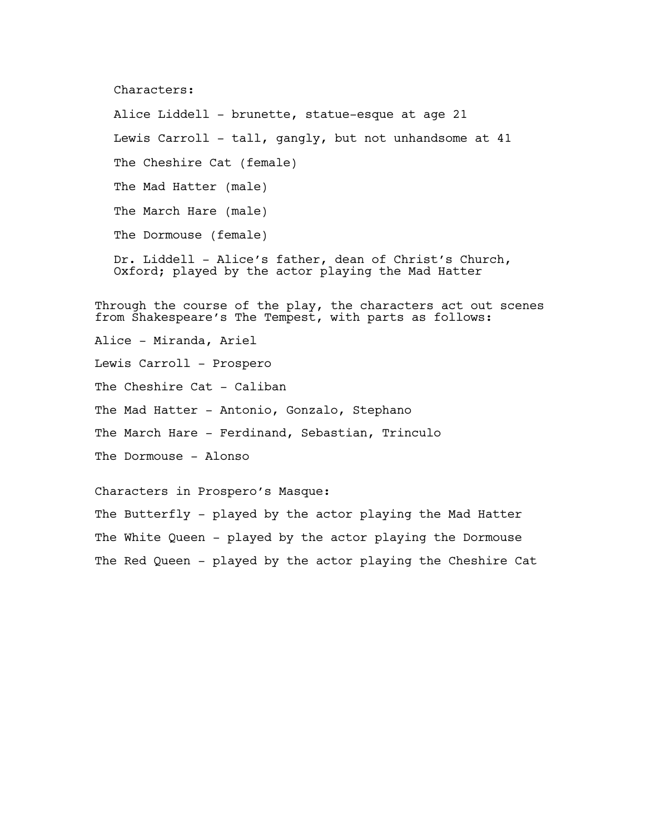Characters:

Alice Liddell - brunette, statue-esque at age 21 Lewis Carroll - tall, gangly, but not unhandsome at 41 The Cheshire Cat (female) The Mad Hatter (male) The March Hare (male) The Dormouse (female) Dr. Liddell - Alice's father, dean of Christ's Church, Oxford; played by the actor playing the Mad Hatter Through the course of the play, the characters act out scenes from Shakespeare's The Tempest, with parts as follows: Alice - Miranda, Ariel Lewis Carroll - Prospero The Cheshire Cat - Caliban The Mad Hatter - Antonio, Gonzalo, Stephano

The March Hare - Ferdinand, Sebastian, Trinculo

The Dormouse - Alonso

Characters in Prospero's Masque:

The Butterfly - played by the actor playing the Mad Hatter The White Queen - played by the actor playing the Dormouse The Red Queen - played by the actor playing the Cheshire Cat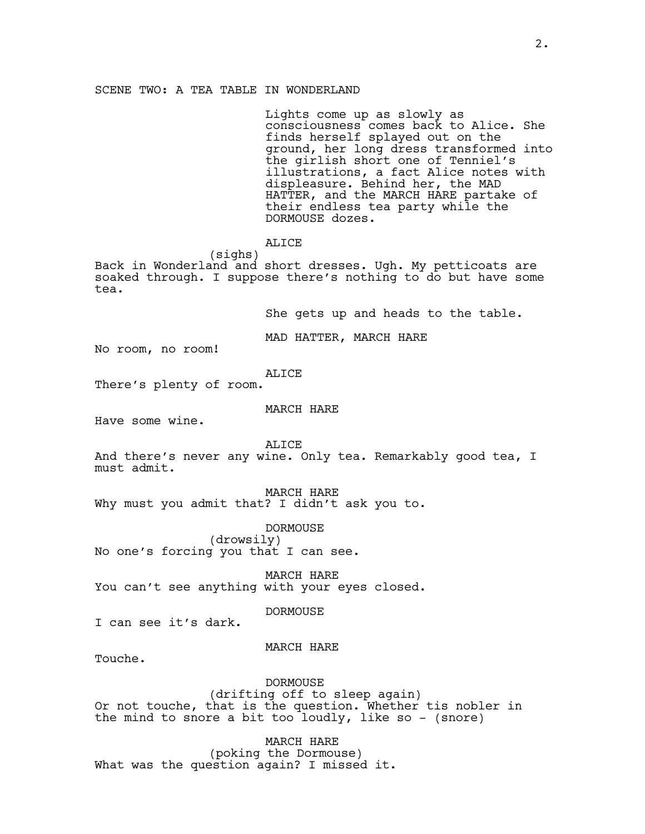Lights come up as slowly as consciousness comes back to Alice. She finds herself splayed out on the ground, her long dress transformed into the girlish short one of Tenniel's illustrations, a fact Alice notes with displeasure. Behind her, the MAD HATTER, and the MARCH HARE partake of their endless tea party while the DORMOUSE dozes.

ALICE

(sighs) Back in Wonderland and short dresses. Ugh. My petticoats are soaked through. I suppose there's nothing to do but have some tea.

She gets up and heads to the table.

MAD HATTER, MARCH HARE

No room, no room!

ALICE

There's plenty of room.

MARCH HARE

Have some wine.

ALICE

And there's never any wine. Only tea. Remarkably good tea, I must admit.

MARCH HARE

Why must you admit that? I didn't ask you to.

DORMOUSE

(drowsily) No one's forcing you that I can see.

MARCH HARE You can't see anything with your eyes closed.

DORMOUSE

I can see it's dark.

MARCH HARE

Touche.

DORMOUSE

(drifting off to sleep again) Or not touche, that is the question. Whether tis nobler in the mind to snore a bit too loudly, like so - (snore)

MARCH HARE (poking the Dormouse) What was the question again? I missed it.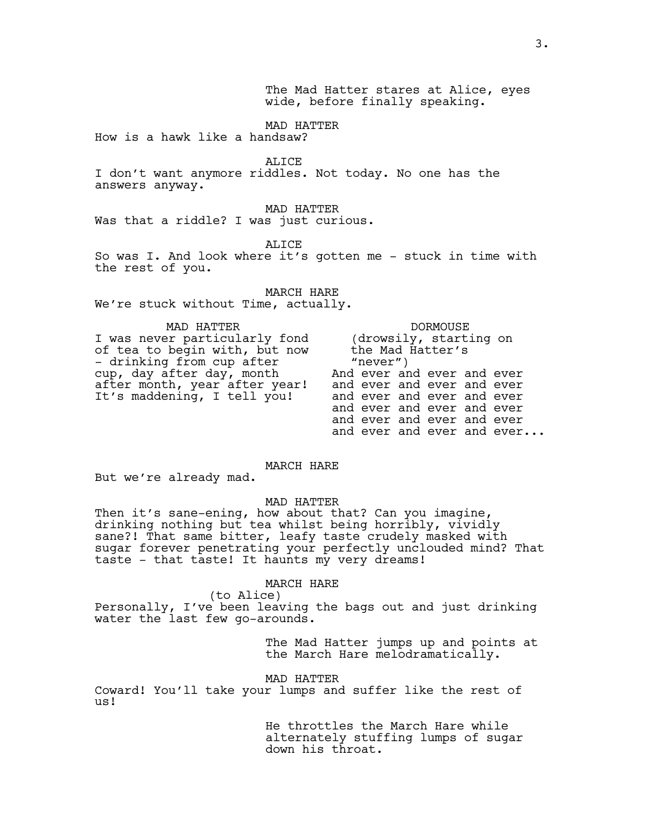The Mad Hatter stares at Alice, eyes wide, before finally speaking.

MAD HATTER

How is a hawk like a handsaw?

ALICE

I don't want anymore riddles. Not today. No one has the answers anyway.

MAD HATTER Was that a riddle? I was just curious.

ALICE

So was I. And look where it's gotten me - stuck in time with the rest of you.

MARCH HARE We're stuck without Time, actually.

MAD HATTER I was never particularly fond of tea to begin with, but now - drinking from cup after cup, day after day, month after month, year after year! It's maddening, I tell you!

DORMOUSE (drowsily, starting on the Mad Hatter's "never") And ever and ever and ever and ever and ever and ever and ever and ever and ever and ever and ever and ever and ever and ever and ever and ever and ever and ever...

MARCH HARE

But we're already mad.

MAD HATTER

Then it's sane-ening, how about that? Can you imagine, drinking nothing but tea whilst being horribly, vividly sane?! That same bitter, leafy taste crudely masked with sugar forever penetrating your perfectly unclouded mind? That taste - that taste! It haunts my very dreams!

# MARCH HARE

(to Alice) Personally, I've been leaving the bags out and just drinking water the last few go-arounds.

> The Mad Hatter jumps up and points at the March Hare melodramatically.

MAD HATTER

Coward! You'll take your lumps and suffer like the rest of us!

> He throttles the March Hare while alternately stuffing lumps of sugar down his throat.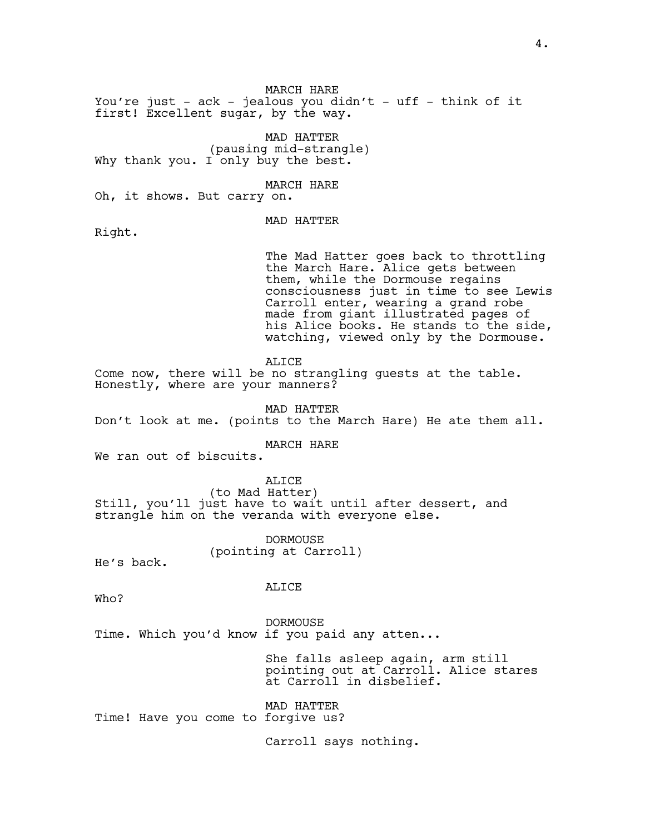MARCH HARE

You're just - ack - jealous you didn't - uff - think of it first! Excellent sugar, by the way.

MAD HATTER (pausing mid-strangle) Why thank you. I only buy the best.

MARCH HARE

Oh, it shows. But carry on.

MAD HATTER

Right.

The Mad Hatter goes back to throttling the March Hare. Alice gets between them, while the Dormouse regains consciousness just in time to see Lewis Carroll enter, wearing a grand robe made from giant illustrated pages of his Alice books. He stands to the side, watching, viewed only by the Dormouse.

ALICE

Come now, there will be no strangling guests at the table. Honestly, where are your manners?

MAD HATTER Don't look at me. (points to the March Hare) He ate them all.

MARCH HARE

We ran out of biscuits.

ALICE (to Mad Hatter) Still, you'll just have to wait until after dessert, and strangle him on the veranda with everyone else.

> DORMOUSE (pointing at Carroll)

He's back.

ALICE

Who?

DORMOUSE Time. Which you'd know if you paid any atten...

> She falls asleep again, arm still pointing out at Carroll. Alice stares at Carroll in disbelief.

MAD HATTER Time! Have you come to forgive us?

Carroll says nothing.

4.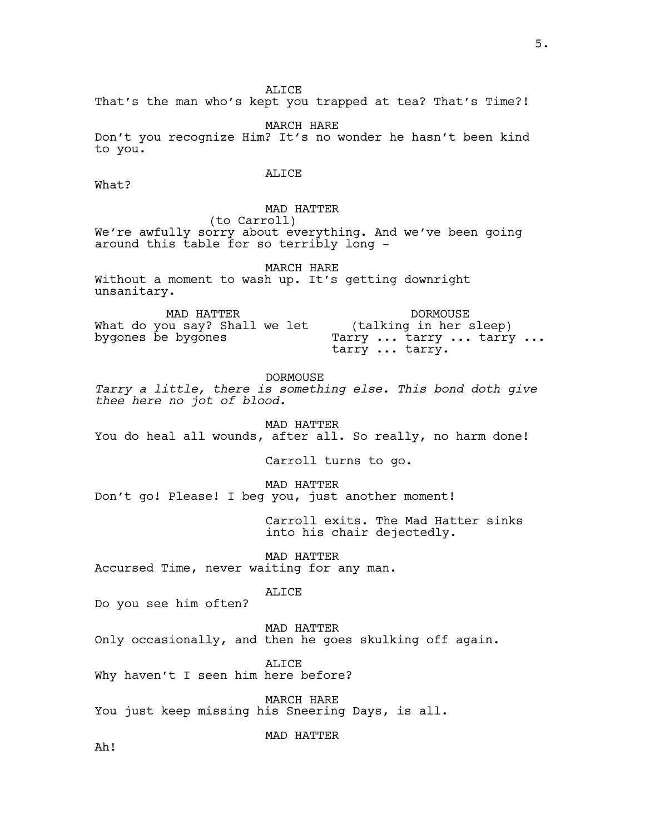ALICE

That's the man who's kept you trapped at tea? That's Time?!

MARCH HARE Don't you recognize Him? It's no wonder he hasn't been kind to you.

# ALICE

What?

MAD HATTER (to Carroll) We're awfully sorry about everything. And we've been going around this table for so terribly long -

MARCH HARE Without a moment to wash up. It's getting downright unsanitary.

MAD HATTER What do you say? Shall we let bygones be bygones DORMOUSE (talking in her sleep) Tarry ... tarry ... tarry ... tarry ... tarry.

DORMOUSE *Tarry a little, there is something else. This bond doth give thee here no jot of blood.*

MAD HATTER You do heal all wounds, after all. So really, no harm done!

Carroll turns to go.

MAD HATTER Don't go! Please! I beg you, just another moment!

> Carroll exits. The Mad Hatter sinks into his chair dejectedly.

MAD HATTER Accursed Time, never waiting for any man.

ALICE

Do you see him often?

MAD HATTER Only occasionally, and then he goes skulking off again.

ALICE Why haven't I seen him here before?

MARCH HARE You just keep missing his Sneering Days, is all.

MAD HATTER

Ah!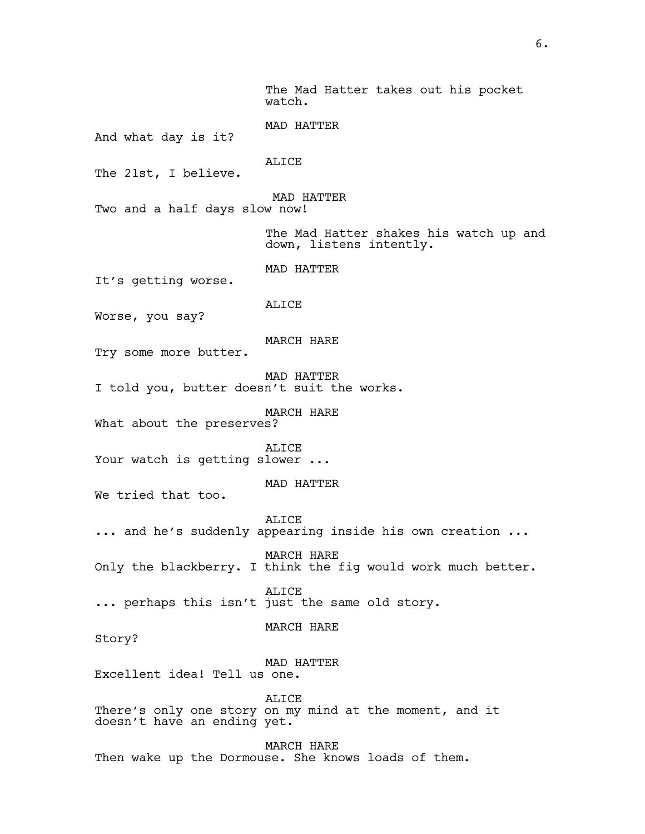The Mad Hatter takes out his pocket watch.

MAD HATTER And what day is it?

The 21st, I believe.

MAD HATTER

ALICE

Two and a half days slow now!

The Mad Hatter shakes his watch up and down, listens intently.

MAD HATTER

It's getting worse.

ALICE

Worse, you say?

MARCH HARE

Try some more butter.

MAD HATTER

I told you, butter doesn't suit the works.

MARCH HARE

What about the preserves?

ALICE Your watch is getting slower ...

MAD HATTER

We tried that too.

ALICE ... and he's suddenly appearing inside his own creation ...

MARCH HARE Only the blackberry. I think the fig would work much better.

ALICE ... perhaps this isn't just the same old story.

MARCH HARE

Story?

MAD HATTER

Excellent idea! Tell us one.

ALICE

There's only one story on my mind at the moment, and it doesn't have an ending yet.

MARCH HARE Then wake up the Dormouse. She knows loads of them.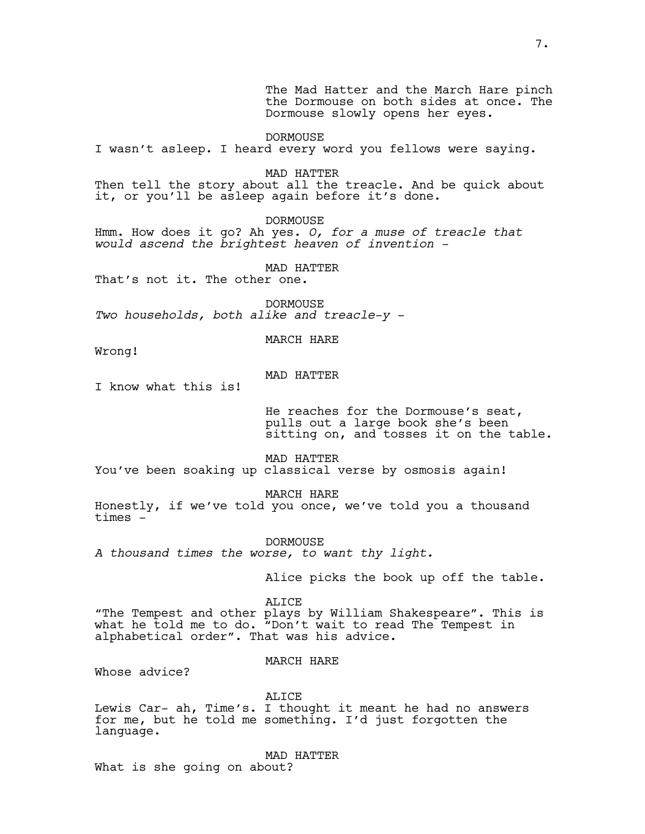The Mad Hatter and the March Hare pinch the Dormouse on both sides at once. The Dormouse slowly opens her eyes.

DORMOUSE I wasn't asleep. I heard every word you fellows were saying.

MAD HATTER

Then tell the story about all the treacle. And be quick about it, or you'll be asleep again before it's done.

DORMOUSE

Hmm. How does it go? Ah yes. *O, for a muse of treacle that would ascend the brightest heaven of invention -*

MAD HATTER

That's not it. The other one.

**DORMOUSE** *Two households, both alike and treacle-y -*

MARCH HARE

Wrong!

MAD HATTER

I know what this is!

He reaches for the Dormouse's seat, pulls out a large book she's been sitting on, and tosses it on the table.

MAD HATTER

You've been soaking up classical verse by osmosis again!

MARCH HARE

Honestly, if we've told you once, we've told you a thousand times -

DORMOUSE *A thousand times the worse, to want thy light.*

Alice picks the book up off the table.

ALICE

"The Tempest and other plays by William Shakespeare". This is what he told me to do. "Don't wait to read The Tempest in alphabetical order". That was his advice.

MARCH HARE

Whose advice?

ALICE

Lewis Car- ah, Time's. I thought it meant he had no answers for me, but he told me something. I'd just forgotten the language.

MAD HATTER What is she going on about?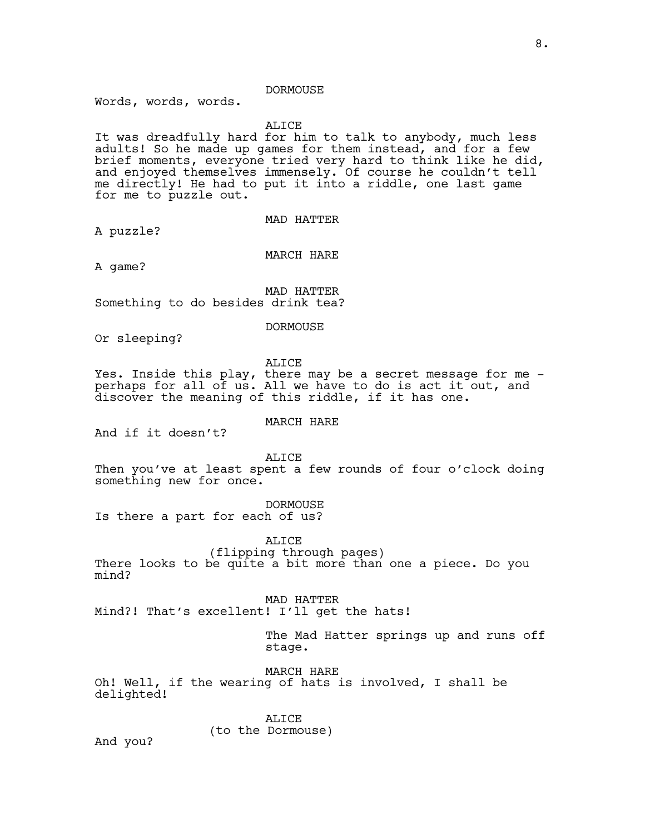### DORMOUSE

Words, words, words.

ALICE

It was dreadfully hard for him to talk to anybody, much less adults! So he made up games for them instead, and for a few brief moments, everyone tried very hard to think like he did, and enjoyed themselves immensely. Of course he couldn't tell me directly! He had to put it into a riddle, one last game for me to puzzle out.

MAD HATTER

A puzzle?

MARCH HARE

A game?

MAD HATTER Something to do besides drink tea?

DORMOUSE

Or sleeping?

ALICE

Yes. Inside this play, there may be a secret message for me perhaps for all of us. All we have to do is act it out, and discover the meaning of this riddle, if it has one.

And if it doesn't?

MARCH HARE

ALICE Then you've at least spent a few rounds of four o'clock doing something new for once.

DORMOUSE Is there a part for each of us?

ALICE

(flipping through pages) There looks to be quite a bit more than one a piece. Do you mind?

MAD HATTER

Mind?! That's excellent! I'll get the hats!

The Mad Hatter springs up and runs off stage.

MARCH HARE Oh! Well, if the wearing of hats is involved, I shall be delighted!

> ALICE (to the Dormouse)

And you?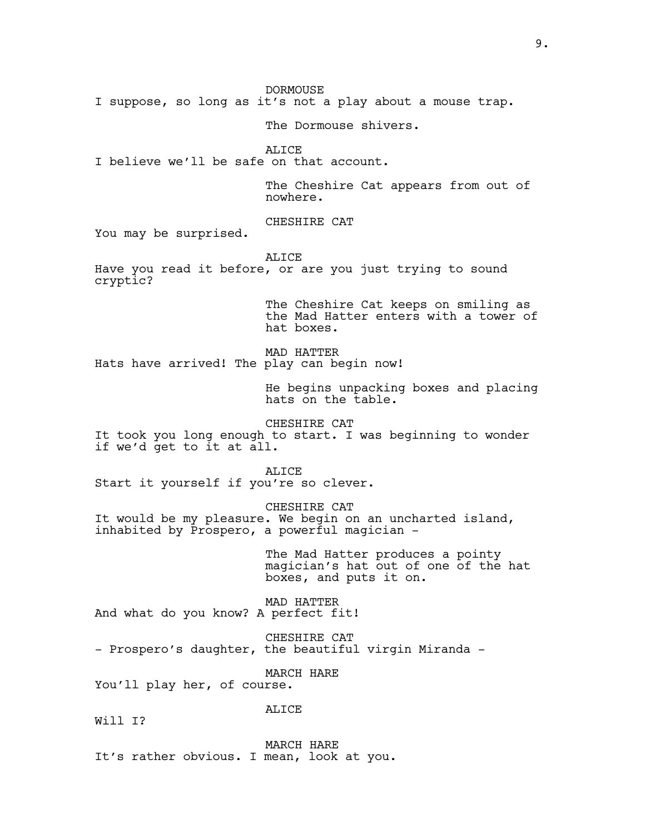DORMOUSE

I suppose, so long as it's not a play about a mouse trap.

The Dormouse shivers.

ALICE

I believe we'll be safe on that account.

The Cheshire Cat appears from out of nowhere.

CHESHIRE CAT

You may be surprised.

ALICE

Have you read it before, or are you just trying to sound cryptic?

> The Cheshire Cat keeps on smiling as the Mad Hatter enters with a tower of hat boxes.

MAD HATTER Hats have arrived! The play can begin now!

> He begins unpacking boxes and placing hats on the table.

CHESHIRE CAT It took you long enough to start. I was beginning to wonder if we'd get to it at all.

ALICE Start it yourself if you're so clever.

CHESHIRE CAT It would be my pleasure. We begin on an uncharted island, inhabited by Prospero, a powerful magician -

> The Mad Hatter produces a pointy magician's hat out of one of the hat boxes, and puts it on.

MAD HATTER And what do you know? A perfect fit!

CHESHIRE CAT

- Prospero's daughter, the beautiful virgin Miranda -

MARCH HARE

You'll play her, of course.

ALICE

Will T?

MARCH HARE It's rather obvious. I mean, look at you.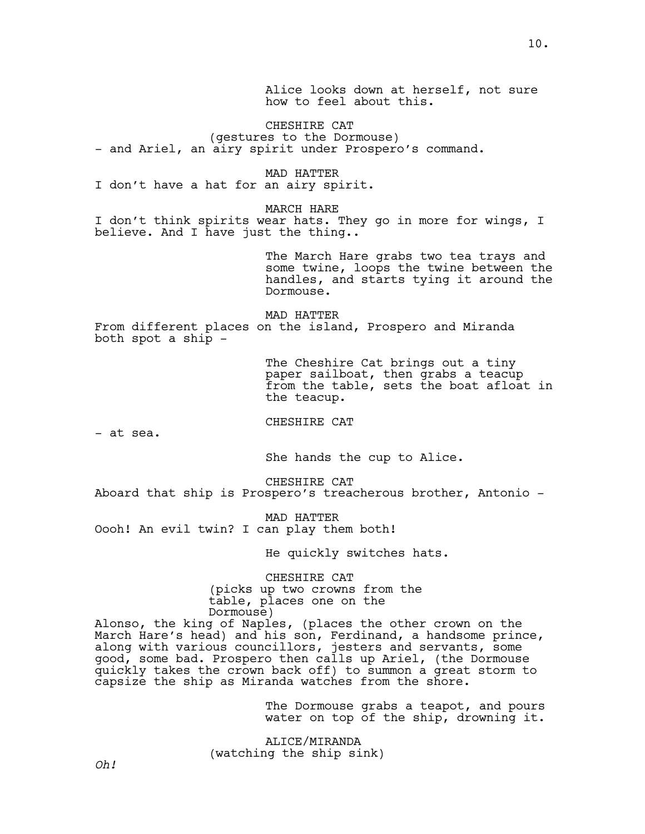Alice looks down at herself, not sure how to feel about this.

CHESHIRE CAT (gestures to the Dormouse) - and Ariel, an airy spirit under Prospero's command.

MAD HATTER I don't have a hat for an airy spirit.

MARCH HARE I don't think spirits wear hats. They go in more for wings, I believe. And I have just the thing..

> The March Hare grabs two tea trays and some twine, loops the twine between the handles, and starts tying it around the Dormouse.

MAD HATTER From different places on the island, Prospero and Miranda both spot a ship -

> The Cheshire Cat brings out a tiny paper sailboat, then grabs a teacup from the table, sets the boat afloat in the teacup.

CHESHIRE CAT

- at sea.

She hands the cup to Alice.

CHESHIRE CAT Aboard that ship is Prospero's treacherous brother, Antonio -

MAD HATTER Oooh! An evil twin? I can play them both!

He quickly switches hats.

CHESHIRE CAT (picks up two crowns from the table, places one on the Dormouse)

Alonso, the king of Naples, (places the other crown on the March Hare's head) and his son, Ferdinand, a handsome prince, along with various councillors, jesters and servants, some good, some bad. Prospero then calls up Ariel, (the Dormouse quickly takes the crown back off) to summon a great storm to capsize the ship as Miranda watches from the shore.

> The Dormouse grabs a teapot, and pours water on top of the ship, drowning it.

ALICE/MIRANDA (watching the ship sink)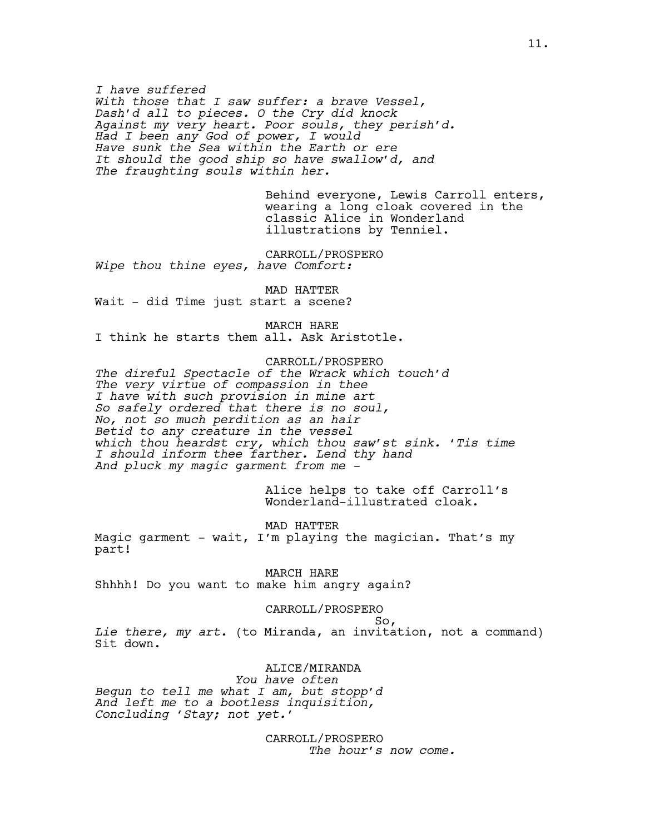*I have suffered With those that I saw suffer: a brave Vessel, Dash'd all to pieces. O the Cry did knock Against my very heart. Poor souls, they perish'd. Had I been any God of power, I would Have sunk the Sea within the Earth or ere It should the good ship so have swallow'd, and The fraughting souls within her.*

> Behind everyone, Lewis Carroll enters, wearing a long cloak covered in the classic Alice in Wonderland illustrations by Tenniel.

CARROLL/PROSPERO *Wipe thou thine eyes, have Comfort:*

MAD HATTER Wait - did Time just start a scene?

MARCH HARE I think he starts them all. Ask Aristotle.

CARROLL/PROSPERO *The direful Spectacle of the Wrack which touch'd The very virtue of compassion in thee I have with such provision in mine art So safely ordered that there is no soul, No, not so much perdition as an hair Betid to any creature in the vessel which thou heardst cry, which thou saw'st sink. 'Tis time I should inform thee farther. Lend thy hand And pluck my magic garment from me -* 

> Alice helps to take off Carroll's Wonderland-illustrated cloak.

MAD HATTER Magic garment - wait, I'm playing the magician. That's my part!

MARCH HARE Shhhh! Do you want to make him angry again?

CARROLL/PROSPERO

 So, *Lie there, my art.* (to Miranda, an invitation, not a command) Sit down.

ALICE/MIRANDA

 *You have often Begun to tell me what I am, but stopp'd And left me to a bootless inquisition, Concluding 'Stay; not yet.'*

> CARROLL/PROSPERO  *The hour's now come.*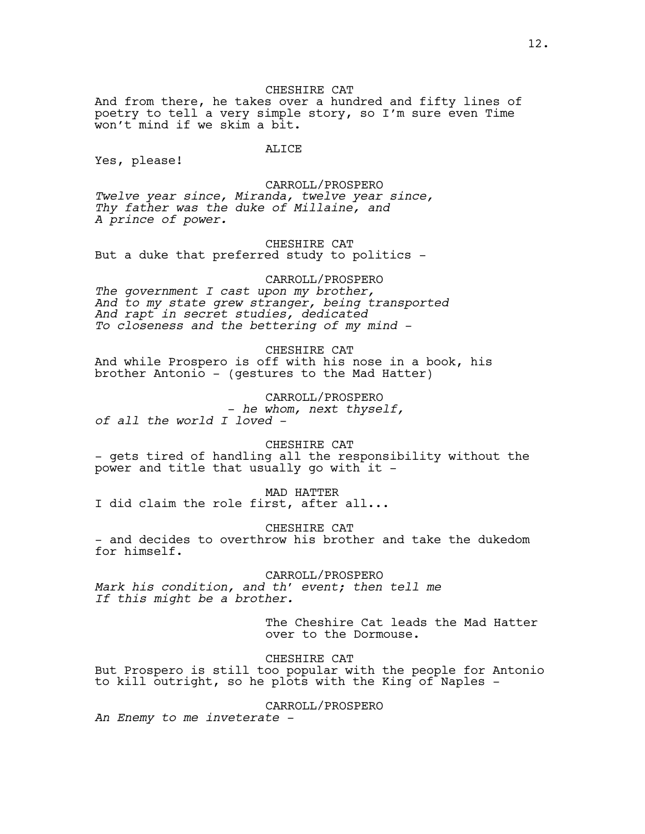CHESHIRE CAT

And from there, he takes over a hundred and fifty lines of poetry to tell a very simple story, so I'm sure even Time won't mind if we skim a bit.

### ALICE

Yes, please!

CARROLL/PROSPERO

*Twelve year since, Miranda, twelve year since, Thy father was the duke of Millaine, and A prince of power.*

CHESHIRE CAT But a duke that preferred study to politics -

CARROLL/PROSPERO

*The government I cast upon my brother, And to my state grew stranger, being transported And rapt in secret studies, dedicated To closeness and the bettering of my mind -*

CHESHIRE CAT And while Prospero is off with his nose in a book, his brother Antonio - (gestures to the Mad Hatter)

CARROLL/PROSPERO - *he whom, next thyself, of all the world I loved -* 

CHESHIRE CAT - gets tired of handling all the responsibility without the power and title that usually go with it -

MAD HATTER I did claim the role first, after all...

CHESHIRE CAT - and decides to overthrow his brother and take the dukedom for himself.

CARROLL/PROSPERO *Mark his condition, and th' event; then tell me If this might be a brother.*

> The Cheshire Cat leads the Mad Hatter over to the Dormouse.

CHESHIRE CAT

But Prospero is still too popular with the people for Antonio to kill outright, so he plots with the King of Naples -

CARROLL/PROSPERO

*An Enemy to me inveterate -*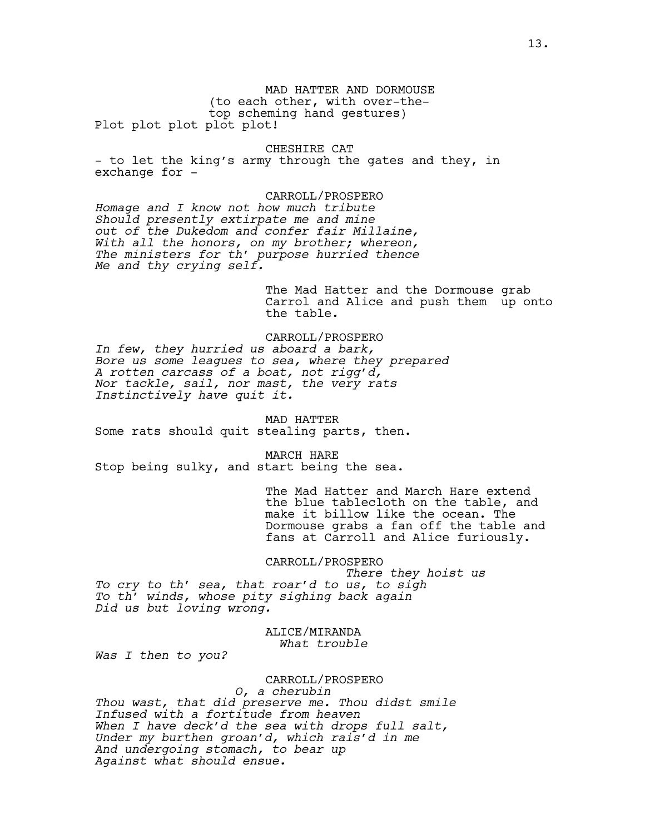MAD HATTER AND DORMOUSE (to each other, with over-thetop scheming hand gestures) Plot plot plot plot plot!

CHESHIRE CAT

- to let the king's army through the gates and they, in exchange for -

CARROLL/PROSPERO *Homage and I know not how much tribute Should presently extirpate me and mine out of the Dukedom and confer fair Millaine, With all the honors, on my brother; whereon, The ministers for th' purpose hurried thence Me and thy crying self.*

> The Mad Hatter and the Dormouse grab Carrol and Alice and push them up onto the table.

CARROLL/PROSPERO *In few, they hurried us aboard a bark, Bore us some leagues to sea, where they prepared A rotten carcass of a boat, not rigg'd, Nor tackle, sail, nor mast, the very rats Instinctively have quit it.*

MAD HATTER Some rats should quit stealing parts, then.

MARCH HARE Stop being sulky, and start being the sea.

> The Mad Hatter and March Hare extend the blue tablecloth on the table, and make it billow like the ocean. The Dormouse grabs a fan off the table and fans at Carroll and Alice furiously.

CARROLL/PROSPERO

 *There they hoist us To cry to th' sea, that roar'd to us, to sigh To th' winds, whose pity sighing back again Did us but loving wrong.*

> ALICE/MIRANDA  *What trouble*

*Was I then to you?*

# CARROLL/PROSPERO

 *O, a cherubin Thou wast, that did preserve me. Thou didst smile Infused with a fortitude from heaven When I have deck'd the sea with drops full salt, Under my burthen groan'd, which rais'd in me And undergoing stomach, to bear up Against what should ensue.*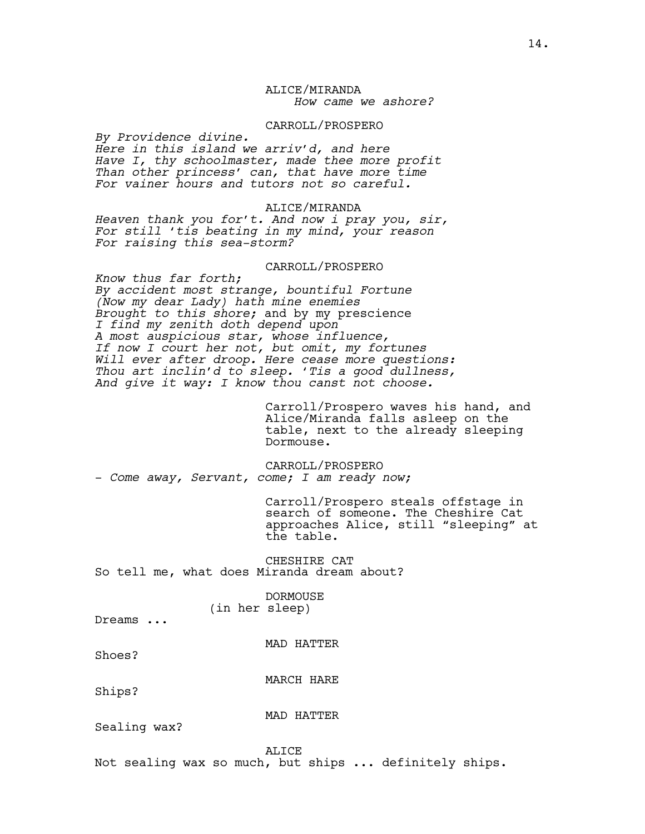## ALICE/MIRANDA  *How came we ashore?*

#### CARROLL/PROSPERO

*By Providence divine. Here in this island we arriv'd, and here Have I, thy schoolmaster, made thee more profit Than other princess' can, that have more time For vainer hours and tutors not so careful.*

### ALICE/MIRANDA

*Heaven thank you for't. And now i pray you, sir, For still 'tis beating in my mind, your reason For raising this sea-storm?*

## CARROLL/PROSPERO

*Know thus far forth; By accident most strange, bountiful Fortune (Now my dear Lady) hath mine enemies Brought to this shore;* and by my prescience *I find my zenith doth depend upon A most auspicious star, whose influence, If now I court her not, but omit, my fortunes Will ever after droop. Here cease more questions: Thou art inclin'd to sleep. 'Tis a good dullness, And give it way: I know thou canst not choose.*

> Carroll/Prospero waves his hand, and Alice/Miranda falls asleep on the table, next to the already sleeping Dormouse.

CARROLL/PROSPERO - *Come away, Servant, come; I am ready now;*

Carroll/Prospero steals offstage in search of someone. The Cheshire Cat approaches Alice, still "sleeping" at the table.

CHESHIRE CAT So tell me, what does Miranda dream about?

> DORMOUSE (in her sleep)

Dreams ...

MAD HATTER

Shoes?

MARCH HARE

Ships?

Sealing wax?

MAD HATTER

ALICE Not sealing wax so much, but ships ... definitely ships.